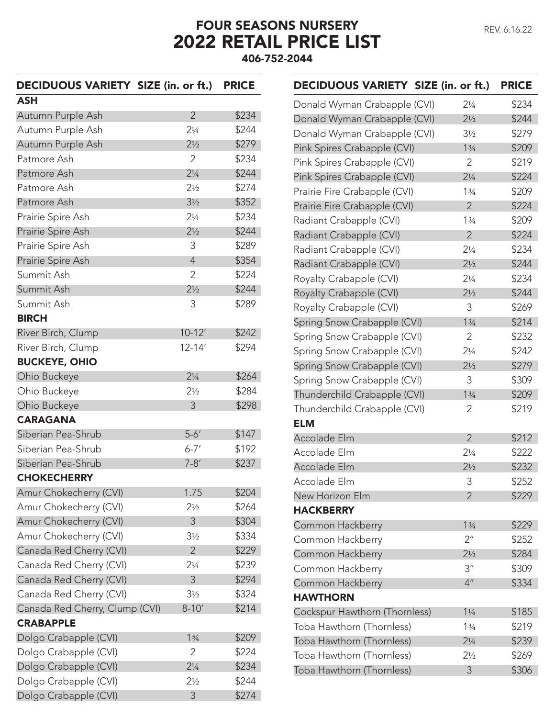## FOUR SEASONS NURSERY 2022 RETAIL PRICE LIST 406-752-2044

## DECIDUOUS VARIETY SIZE (in. or ft.) PRICE

| ASH                            |                |       |
|--------------------------------|----------------|-------|
| Autumn Purple Ash              | $\overline{2}$ | \$234 |
| Autumn Purple Ash              | $2\frac{1}{4}$ | \$244 |
| Autumn Purple Ash              | $2\frac{1}{2}$ | \$279 |
| Patmore Ash                    | 2              | \$234 |
| Patmore Ash                    | $2\frac{1}{4}$ | \$244 |
| Patmore Ash                    | $2\frac{1}{2}$ | \$274 |
| Patmore Ash                    | $3\frac{1}{2}$ | \$352 |
| Prairie Spire Ash              | $2\frac{1}{4}$ | \$234 |
| Prairie Spire Ash              | $2\frac{1}{2}$ | \$244 |
| Prairie Spire Ash              | 3              | \$289 |
| Prairie Spire Ash              | $\overline{4}$ | \$354 |
| Summit Ash                     | $\overline{2}$ | \$224 |
| Summit Ash                     | $2\frac{1}{2}$ | \$244 |
| Summit Ash                     | 3              | \$289 |
| <b>BIRCH</b>                   |                |       |
| River Birch, Clump             | $10 - 12'$     | \$242 |
| River Birch, Clump             | $12 - 14'$     | \$294 |
| <b>BUCKEYE, OHIO</b>           |                |       |
| Ohio Buckeye                   | $2\frac{1}{4}$ | \$264 |
| Ohio Buckeye                   | $2\frac{1}{2}$ | \$284 |
| Ohio Buckeye                   | 3              | \$298 |
| <b>CARAGANA</b>                |                |       |
| Siberian Pea-Shrub             | $5-6'$         | \$147 |
| Siberian Pea-Shrub             | $6 - 7'$       | \$192 |
| Siberian Pea-Shrub             | $7 - 8'$       | \$237 |
| <b>CHOKECHERRY</b>             |                |       |
| Amur Chokecherry (CVI)         | 1.75           | \$204 |
| Amur Chokecherry (CVI)         | $2\frac{1}{2}$ | \$264 |
| Amur Chokecherry (CVI)         | 3              | \$304 |
| Amur Chokecherry (CVI)         | $3\frac{1}{2}$ | \$334 |
| Canada Red Cherry (CVI)        | $\overline{2}$ | \$229 |
| Canada Red Cherry (CVI)        | $2\frac{1}{4}$ | \$239 |
| Canada Red Cherry (CVI)        | 3              | \$294 |
| Canada Red Cherry (CVI)        | $3\frac{1}{2}$ | \$324 |
| Canada Red Cherry, Clump (CVI) | $8 - 10'$      | \$214 |
| <b>CRABAPPLE</b>               |                |       |
| Dolgo Crabapple (CVI)          | 13/4           | \$209 |
| Dolgo Crabapple (CVI)          | 2              | \$224 |
| Dolgo Crabapple (CVI)          | $2\frac{1}{4}$ | \$234 |
| Dolgo Crabapple (CVI)          | $2\frac{1}{2}$ | \$244 |
| Dolgo Crabapple (CVI)          | 3              | \$274 |

| DECIDUOUS VARIETY SIZE (in. or ft.) |                    | <b>PRICE</b> |
|-------------------------------------|--------------------|--------------|
| Donald Wyman Crabapple (CVI)        | $2\frac{1}{4}$     | \$234        |
| Donald Wyman Crabapple (CVI)        | $2\frac{1}{2}$     | \$244        |
| Donald Wyman Crabapple (CVI)        | $3\frac{1}{2}$     | \$279        |
| Pink Spires Crabapple (CVI)         | 13/4               | \$209        |
| Pink Spires Crabapple (CVI)         | 2                  | \$219        |
| Pink Spires Crabapple (CVI)         | $2\frac{1}{4}$     | \$224        |
| Prairie Fire Crabapple (CVI)        | 13/4               | \$209        |
| Prairie Fire Crabapple (CVI)        | $\overline{2}$     | \$224        |
| Radiant Crabapple (CVI)             | 13/4               | \$209        |
| Radiant Crabapple (CVI)             | $\overline{2}$     | \$224        |
| Radiant Crabapple (CVI)             | $2\frac{1}{4}$     | \$234        |
| Radiant Crabapple (CVI)             | $2\frac{1}{2}$     | \$244        |
| Royalty Crabapple (CVI)             | $2\frac{1}{4}$     | \$234        |
| Royalty Crabapple (CVI)             | $2\frac{1}{2}$     | \$244        |
| Royalty Crabapple (CVI)             | 3                  | \$269        |
| Spring Snow Crabapple (CVI)         | 13/4               | \$214        |
| Spring Snow Crabapple (CVI)         | 2                  | \$232        |
| Spring Snow Crabapple (CVI)         | $2\frac{1}{4}$     | \$242        |
| Spring Snow Crabapple (CVI)         | $2\frac{1}{2}$     | \$279        |
| Spring Snow Crabapple (CVI)         | 3                  | \$309        |
| Thunderchild Crabapple (CVI)        | 13/4               | \$209        |
| Thunderchild Crabapple (CVI)        | 2                  | \$219        |
| <b>ELM</b>                          |                    |              |
| Accolade Elm                        | $\overline{2}$     | \$212        |
| Accolade Elm                        | $2\frac{1}{4}$     | \$222        |
| Accolade Elm                        | $2\frac{1}{2}$     | \$232        |
| Accolade Elm                        | 3                  | \$252        |
| New Horizon Elm                     | $\overline{2}$     | \$229        |
| <b>HACKBERRY</b>                    |                    |              |
| Common Hackberry                    | 13/4               | \$229        |
| Common Hackberry                    | $2^{\prime\prime}$ | \$252        |
| Common Hackberry                    | $2\frac{1}{2}$     | \$284        |
| Common Hackberry                    | 3 <sup>''</sup>    | \$309        |
| Common Hackberry                    | 4 <sup>''</sup>    | \$334        |
| <b>HAWTHORN</b>                     |                    |              |
| Cockspur Hawthorn (Thornless)       | $1\frac{1}{4}$     | \$185        |
| Toba Hawthorn (Thornless)           | 13/4               | \$219        |
| Toba Hawthorn (Thornless)           | $2\frac{1}{4}$     | \$239        |
| Toba Hawthorn (Thornless)           | $2\frac{1}{2}$     | \$269        |
| Toba Hawthorn (Thornless)           | 3                  | \$306        |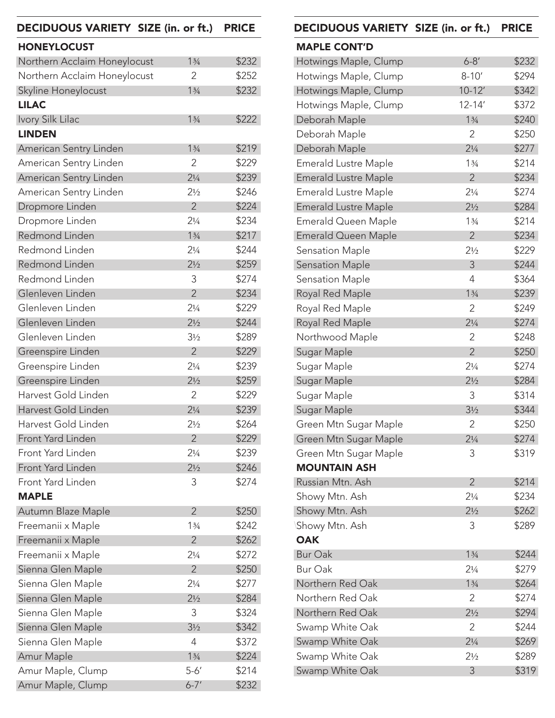| DECIDUOUS VARIETY SIZE (in. or ft.) |                | <b>PRICE</b> | DECIDUOUS VARIETY SIZE (in. or ft.) |                | <b>PRICE</b>      |
|-------------------------------------|----------------|--------------|-------------------------------------|----------------|-------------------|
| <b>HONEYLOCUST</b>                  |                |              | <b>MAPLE CONT'D</b>                 |                |                   |
| Northern Acclaim Honeylocust        | 13/4           | \$232        | Hotwings Maple, Clump               | $6 - 8'$       | \$232             |
| Northern Acclaim Honeylocust        | $\overline{2}$ | \$252        | Hotwings Maple, Clump               | $8 - 10'$      | \$294             |
| Skyline Honeylocust                 | 13/4           | \$232        | Hotwings Maple, Clump               | $10-12'$       | \$342             |
| <b>LILAC</b>                        |                |              | Hotwings Maple, Clump               | $12 - 14'$     | \$372             |
| Ivory Silk Lilac                    | 13/4           | \$222        | Deborah Maple                       | 13/4           | \$240             |
| <b>LINDEN</b>                       |                |              | Deborah Maple                       | 2              | \$250             |
| American Sentry Linden              | 13/4           | \$219        | Deborah Maple                       | $2\frac{1}{4}$ | \$27              |
| American Sentry Linden              | $\overline{2}$ | \$229        | <b>Emerald Lustre Maple</b>         | 13/4           | \$21              |
| American Sentry Linden              | $2\frac{1}{4}$ | \$239        | <b>Emerald Lustre Maple</b>         | $\overline{2}$ | \$23              |
| American Sentry Linden              | $2\frac{1}{2}$ | \$246        | <b>Emerald Lustre Maple</b>         | $2\frac{1}{4}$ | \$27              |
| Dropmore Linden                     | $\overline{2}$ | \$224        | <b>Emerald Lustre Maple</b>         | $2\frac{1}{2}$ | \$284             |
| Dropmore Linden                     | $2\frac{1}{4}$ | \$234        | Emerald Queen Maple                 | 13/4           | \$21              |
| Redmond Linden                      | 13/4           | \$217        | Emerald Queen Maple                 | $\overline{2}$ | \$23              |
| Redmond Linden                      | $2\frac{1}{4}$ | \$244        | Sensation Maple                     | $2\frac{1}{2}$ | \$22              |
| Redmond Linden                      | $2\frac{1}{2}$ | \$259        | <b>Sensation Maple</b>              | 3              | \$24              |
| Redmond Linden                      | 3              | \$274        | <b>Sensation Maple</b>              | 4              | \$364             |
| Glenleven Linden                    | $\overline{2}$ | \$234        | Royal Red Maple                     | 13/4           | \$23              |
| Glenleven Linden                    | $2\frac{1}{4}$ | \$229        | Royal Red Maple                     | 2              | \$24              |
| Glenleven Linden                    | $2\frac{1}{2}$ | \$244        | Royal Red Maple                     | $2\frac{1}{4}$ | \$274             |
| Glenleven Linden                    | $3\frac{1}{2}$ | \$289        | Northwood Maple                     | $\overline{2}$ | \$248             |
| Greenspire Linden                   | $\overline{2}$ | \$229        | Sugar Maple                         | $\overline{2}$ | \$250             |
| Greenspire Linden                   | $2\frac{1}{4}$ | \$239        | Sugar Maple                         | $2\frac{1}{4}$ | \$27              |
| Greenspire Linden                   | $2\frac{1}{2}$ | \$259        | Sugar Maple                         | $2\frac{1}{2}$ | \$284             |
| Harvest Gold Linden                 | $\overline{2}$ | \$229        | Sugar Maple                         | 3              | \$314             |
| Harvest Gold Linden                 | $2\frac{1}{4}$ | \$239        | Sugar Maple                         | $3\frac{1}{2}$ | \$344             |
| Harvest Gold Linden                 | $2\frac{1}{2}$ | \$264        | Green Mtn Sugar Maple               | $\overline{2}$ | \$250             |
| Front Yard Linden                   | $\overline{2}$ | \$229        | Green Mtn Sugar Maple               | $2\frac{1}{4}$ | \$274             |
| Front Yard Linden                   | $2\frac{1}{4}$ | \$239        | Green Mtn Sugar Maple               | 3              | \$31 <sup>°</sup> |
| Front Yard Linden                   | $2\frac{1}{2}$ | \$246        | <b>MOUNTAIN ASH</b>                 |                |                   |
| Front Yard Linden                   | 3              | \$274        | Russian Mtn. Ash                    | $\overline{2}$ | \$21              |
| <b>MAPLE</b>                        |                |              | Showy Mtn. Ash                      | $2\frac{1}{4}$ | \$23              |
| Autumn Blaze Maple                  | $\overline{2}$ | \$250        | Showy Mtn. Ash                      | $2\frac{1}{2}$ | \$262             |
| Freemanii x Maple                   | 13/4           | \$242        | Showy Mtn. Ash                      | 3              | \$289             |
| Freemanii x Maple                   | $\overline{2}$ | \$262        | <b>OAK</b>                          |                |                   |
| Freemanii x Maple                   | $2\frac{1}{4}$ | \$272        | Bur Oak                             | 13/4           | \$24              |
| Sienna Glen Maple                   | $\overline{2}$ | \$250        | Bur Oak                             | $2\frac{1}{4}$ | \$27              |
| Sienna Glen Maple                   | $2\frac{1}{4}$ | \$277        | Northern Red Oak                    | 13/4           | \$26              |
| Sienna Glen Maple                   | $2\frac{1}{2}$ | \$284        | Northern Red Oak                    | $\overline{2}$ | \$27              |
| Sienna Glen Maple                   | 3              | \$324        | Northern Red Oak                    | $2\frac{1}{2}$ | \$29              |
| Sienna Glen Maple                   | $3\frac{1}{2}$ | \$342        | Swamp White Oak                     | 2              | \$24              |
| Sienna Glen Maple                   | $\overline{4}$ | \$372        | Swamp White Oak                     | $2\frac{1}{4}$ | \$26'             |
| Amur Maple                          | 13/4           | \$224        | Swamp White Oak                     | $2\frac{1}{2}$ | \$28              |
| Amur Maple, Clump                   | $5 - 6'$       | \$214        | Swamp White Oak                     | $\mathfrak{Z}$ | \$31'             |
| Amur Maple, Clump                   | $6 - 7'$       | \$232        |                                     |                |                   |

| DECIDUOUS VARIETY SIZE (in. or ft.) |                | <b>PRICE</b> |
|-------------------------------------|----------------|--------------|
| <b>MAPLE CONT'D</b>                 |                |              |
| Hotwings Maple, Clump               | $6 - 8'$       | \$232        |
| Hotwings Maple, Clump               | $8 - 10'$      | \$294        |
| Hotwings Maple, Clump               | $10 - 12'$     | \$342        |
| Hotwings Maple, Clump               | $12 - 14'$     | \$372        |
| Deborah Maple                       | 13/4           | \$240        |
| Deborah Maple                       | 2              | \$250        |
| Deborah Maple                       | $2\frac{1}{4}$ | \$277        |
| <b>Emerald Lustre Maple</b>         | 13/4           | \$214        |
| <b>Emerald Lustre Maple</b>         | $\overline{2}$ | \$234        |
| <b>Emerald Lustre Maple</b>         | $2\frac{1}{4}$ | \$274        |
| <b>Emerald Lustre Maple</b>         | $2\frac{1}{2}$ | \$284        |
| Emerald Queen Maple                 | 13/4           | \$214        |
| <b>Emerald Queen Maple</b>          | $\overline{2}$ | \$234        |
| <b>Sensation Maple</b>              | $2\frac{1}{2}$ | \$229        |
| <b>Sensation Maple</b>              | 3              | \$244        |
| <b>Sensation Maple</b>              | 4              | \$364        |
| Royal Red Maple                     | 13/4           | \$239        |
| Royal Red Maple                     | 2              | \$249        |
| Royal Red Maple                     | $2\frac{1}{4}$ | \$274        |
| Northwood Maple                     | $\overline{2}$ | \$248        |
| Sugar Maple                         | $\overline{2}$ | \$250        |
| Sugar Maple                         | $2\frac{1}{4}$ | \$274        |
| Sugar Maple                         | $2\frac{1}{2}$ | \$284        |
| Sugar Maple                         | 3              | \$314        |
| Sugar Maple                         | $3\frac{1}{2}$ | \$344        |
| Green Mtn Sugar Maple               | $\overline{2}$ | \$250        |
| Green Mtn Sugar Maple               | $2\frac{1}{4}$ | \$274        |
| Green Mtn Sugar Maple               | 3              | \$319        |
| <b>MOUNTAIN ASH</b>                 |                |              |
| Russian Mtn. Ash                    | $\overline{2}$ | \$214        |
| Showy Mtn. Ash                      | $2\frac{1}{4}$ | \$234        |
| Showy Mtn. Ash                      | $2\frac{1}{2}$ | \$262        |
| Showy Mtn. Ash                      | 3              | \$289        |
| <b>OAK</b>                          |                |              |
| <b>Bur Oak</b>                      | 13/4           | \$244        |
| <b>Bur Oak</b>                      | $2\frac{1}{4}$ | \$279        |
| Northern Red Oak                    | 13/4           | \$264        |
| Northern Red Oak                    | 2              | \$274        |
| Northern Red Oak                    | $2\frac{1}{2}$ | \$294        |
| Swamp White Oak                     | 2              | \$244        |
| Swamp White Oak                     | $2\frac{1}{4}$ | \$269        |
| Swamp White Oak                     | $2\frac{1}{2}$ | \$289        |
| Swamp White Oak                     | 3              | \$319        |
|                                     |                |              |